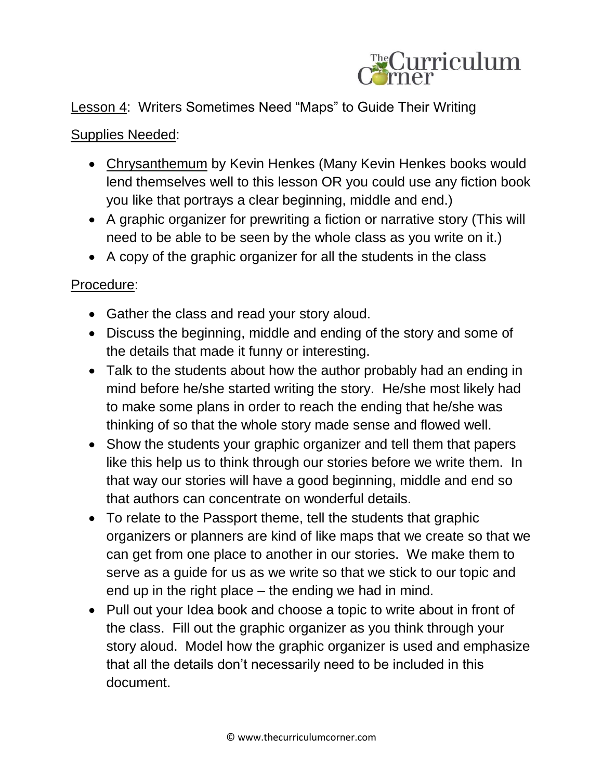

## Lesson 4: Writers Sometimes Need "Maps" to Guide Their Writing

## Supplies Needed:

- Chrysanthemum by Kevin Henkes (Many Kevin Henkes books would lend themselves well to this lesson OR you could use any fiction book you like that portrays a clear beginning, middle and end.)
- A graphic organizer for prewriting a fiction or narrative story (This will need to be able to be seen by the whole class as you write on it.)
- A copy of the graphic organizer for all the students in the class

## Procedure:

- Gather the class and read your story aloud.
- Discuss the beginning, middle and ending of the story and some of the details that made it funny or interesting.
- Talk to the students about how the author probably had an ending in mind before he/she started writing the story. He/she most likely had to make some plans in order to reach the ending that he/she was thinking of so that the whole story made sense and flowed well.
- Show the students your graphic organizer and tell them that papers like this help us to think through our stories before we write them. In that way our stories will have a good beginning, middle and end so that authors can concentrate on wonderful details.
- To relate to the Passport theme, tell the students that graphic organizers or planners are kind of like maps that we create so that we can get from one place to another in our stories. We make them to serve as a guide for us as we write so that we stick to our topic and end up in the right place – the ending we had in mind.
- Pull out your Idea book and choose a topic to write about in front of the class. Fill out the graphic organizer as you think through your story aloud. Model how the graphic organizer is used and emphasize that all the details don't necessarily need to be included in this document.